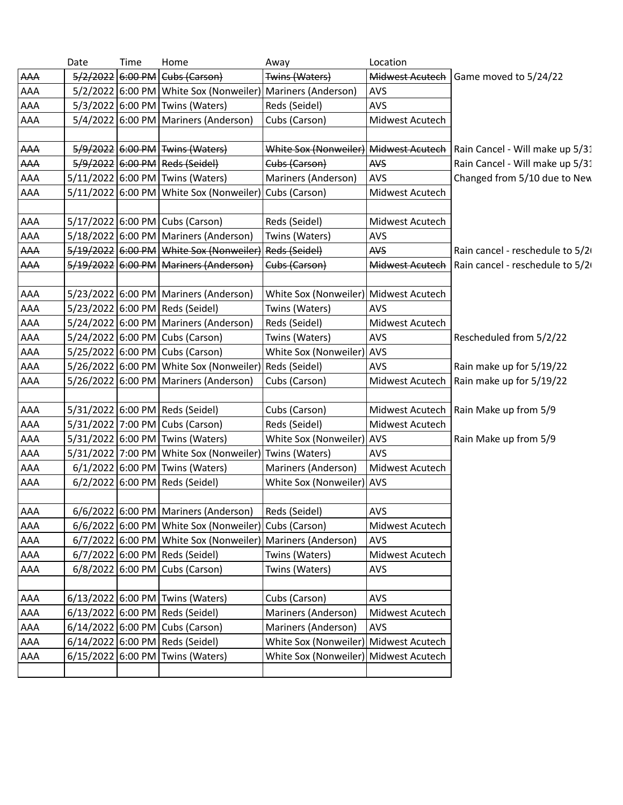|     | Date              | Time | Home                                                       | Away                                  | Location        |                                 |
|-----|-------------------|------|------------------------------------------------------------|---------------------------------------|-----------------|---------------------------------|
| AAA | 5/2/2022 6:00 PM  |      | Cubs (Carson)                                              | Twins (Waters)                        | Midwest Acutech | Game moved to 5/24/22           |
| AAA |                   |      | 5/2/2022 6:00 PM White Sox (Nonweiler) Mariners (Anderson) |                                       | <b>AVS</b>      |                                 |
| AAA |                   |      | 5/3/2022 6:00 PM Twins (Waters)                            | Reds (Seidel)                         | <b>AVS</b>      |                                 |
| AAA |                   |      | 5/4/2022 6:00 PM Mariners (Anderson)                       | Cubs (Carson)                         | Midwest Acutech |                                 |
|     |                   |      |                                                            |                                       |                 |                                 |
| AAA |                   |      | 5/9/2022 6:00 PM Twins (Waters)                            | White Sox (Nonweiler) Midwest Acutech |                 | Rain Cancel - Will make up 5/31 |
| AAA |                   |      | 5/9/2022 6:00 PM Reds (Seidel)                             | Cubs (Carson)                         | AVS             | Rain Cancel - Will make up 5/31 |
| AAA |                   |      | 5/11/2022 6:00 PM Twins (Waters)                           | Mariners (Anderson)                   | <b>AVS</b>      | Changed from 5/10 due to New    |
| AAA | 5/11/2022 6:00 PM |      | White Sox (Nonweiler)                                      | Cubs (Carson)                         | Midwest Acutech |                                 |
|     |                   |      |                                                            |                                       |                 |                                 |
| AAA |                   |      | 5/17/2022 6:00 PM Cubs (Carson)                            | Reds (Seidel)                         | Midwest Acutech |                                 |
| AAA |                   |      | 5/18/2022 6:00 PM Mariners (Anderson)                      | Twins (Waters)                        | <b>AVS</b>      |                                 |
| AAA |                   |      | 5/19/2022 6:00 PM White Sox (Nonweiler)                    | <b>Reds (Seidel)</b>                  | AVS             | Rain cancel - reschedule to 5/2 |
| AAA |                   |      | 5/19/2022 6:00 PM Mariners (Anderson)                      | Cubs (Carson)                         | Midwest Acutech | Rain cancel - reschedule to 5/2 |
|     |                   |      |                                                            |                                       |                 |                                 |
| AAA |                   |      | 5/23/2022 6:00 PM Mariners (Anderson)                      | White Sox (Nonweiler) Midwest Acutech |                 |                                 |
| AAA |                   |      | 5/23/2022 6:00 PM Reds (Seidel)                            | Twins (Waters)                        | <b>AVS</b>      |                                 |
| AAA |                   |      | 5/24/2022 6:00 PM   Mariners (Anderson)                    | Reds (Seidel)                         | Midwest Acutech |                                 |
| AAA |                   |      | 5/24/2022 6:00 PM Cubs (Carson)                            | Twins (Waters)                        | <b>AVS</b>      | Rescheduled from 5/2/22         |
| AAA |                   |      | 5/25/2022 6:00 PM Cubs (Carson)                            | White Sox (Nonweiler)                 | <b>AVS</b>      |                                 |
| AAA |                   |      | 5/26/2022 6:00 PM White Sox (Nonweiler) Reds (Seidel)      |                                       | <b>AVS</b>      | Rain make up for 5/19/22        |
| AAA |                   |      | 5/26/2022 6:00 PM Mariners (Anderson)                      | Cubs (Carson)                         | Midwest Acutech | Rain make up for 5/19/22        |
|     |                   |      |                                                            |                                       |                 |                                 |
| AAA |                   |      | 5/31/2022 6:00 PM Reds (Seidel)                            | Cubs (Carson)                         | Midwest Acutech | Rain Make up from 5/9           |
| AAA |                   |      | 5/31/2022 7:00 PM Cubs (Carson)                            | Reds (Seidel)                         | Midwest Acutech |                                 |
| AAA |                   |      | 5/31/2022 6:00 PM Twins (Waters)                           | White Sox (Nonweiler) AVS             |                 | Rain Make up from 5/9           |
| AAA |                   |      | 5/31/2022 7:00 PM   White Sox (Nonweiler)   Twins (Waters) |                                       | <b>AVS</b>      |                                 |
| AAA |                   |      | 6/1/2022 6:00 PM Twins (Waters)                            | Mariners (Anderson)                   | Midwest Acutech |                                 |
| AAA |                   |      | 6/2/2022 6:00 PM Reds (Seidel)                             | White Sox (Nonweiler)                 | <b>AVS</b>      |                                 |
|     |                   |      |                                                            |                                       |                 |                                 |
| AAA |                   |      | 6/6/2022 6:00 PM Mariners (Anderson)   Reds (Seidel)       |                                       | AVS             |                                 |
| AAA |                   |      | 6/6/2022 6:00 PM White Sox (Nonweiler) Cubs (Carson)       |                                       | Midwest Acutech |                                 |
| AAA |                   |      | 6/7/2022 6:00 PM White Sox (Nonweiler) Mariners (Anderson) |                                       | <b>AVS</b>      |                                 |
| AAA |                   |      | 6/7/2022 6:00 PM Reds (Seidel)                             | Twins (Waters)                        | Midwest Acutech |                                 |
| AAA |                   |      | 6/8/2022 6:00 PM Cubs (Carson)                             | Twins (Waters)                        | <b>AVS</b>      |                                 |
|     |                   |      |                                                            |                                       |                 |                                 |
| AAA |                   |      | 6/13/2022 6:00 PM Twins (Waters)                           | Cubs (Carson)                         | <b>AVS</b>      |                                 |
| AAA |                   |      | 6/13/2022 6:00 PM Reds (Seidel)                            | Mariners (Anderson)                   | Midwest Acutech |                                 |
| AAA |                   |      | 6/14/2022 6:00 PM Cubs (Carson)                            | Mariners (Anderson)                   | <b>AVS</b>      |                                 |
| AAA |                   |      | 6/14/2022 6:00 PM Reds (Seidel)                            | White Sox (Nonweiler)                 | Midwest Acutech |                                 |
| AAA | 6/15/2022 6:00 PM |      | Twins (Waters)                                             | White Sox (Nonweiler)                 | Midwest Acutech |                                 |
|     |                   |      |                                                            |                                       |                 |                                 |